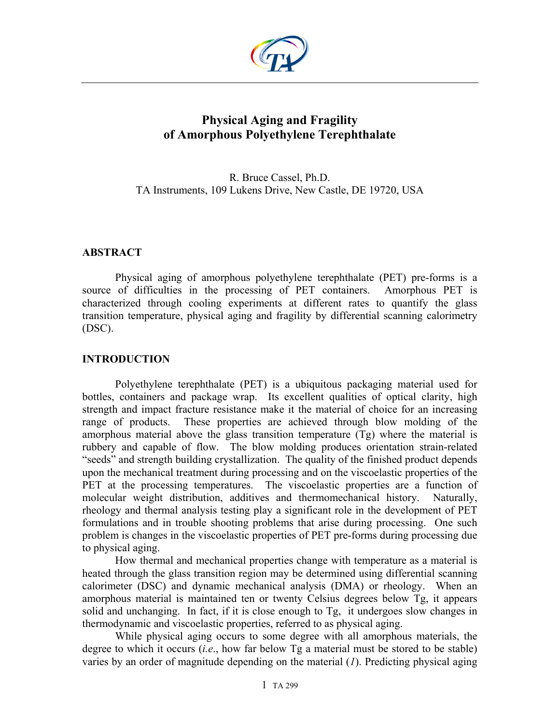

# **Physical Aging and Fragility of Amorphous Polyethylene Terephthalate**

R. Bruce Cassel, Ph.D. TA Instruments, 109 Lukens Drive, New Castle, DE 19720, USA

## **ABSTRACT**

Physical aging of amorphous polyethylene terephthalate (PET) pre-forms is a source of difficulties in the processing of PET containers. Amorphous PET is characterized through cooling experiments at different rates to quantify the glass transition temperature, physical aging and fragility by differential scanning calorimetry (DSC).

## **INTRODUCTION**

Polyethylene terephthalate (PET) is a ubiquitous packaging material used for bottles, containers and package wrap. Its excellent qualities of optical clarity, high strength and impact fracture resistance make it the material of choice for an increasing range of products. These properties are achieved through blow molding of the amorphous material above the glass transition temperature (Tg) where the material is rubbery and capable of flow. The blow molding produces orientation strain-related "seeds" and strength building crystallization. The quality of the finished product depends upon the mechanical treatment during processing and on the viscoelastic properties of the PET at the processing temperatures. The viscoelastic properties are a function of molecular weight distribution, additives and thermomechanical history. Naturally, rheology and thermal analysis testing play a significant role in the development of PET formulations and in trouble shooting problems that arise during processing. One such problem is changes in the viscoelastic properties of PET pre-forms during processing due to physical aging.

How thermal and mechanical properties change with temperature as a material is heated through the glass transition region may be determined using differential scanning calorimeter (DSC) and dynamic mechanical analysis (DMA) or rheology. When an amorphous material is maintained ten or twenty Celsius degrees below Tg, it appears solid and unchanging. In fact, if it is close enough to Tg, it undergoes slow changes in thermodynamic and viscoelastic properties, referred to as physical aging.

While physical aging occurs to some degree with all amorphous materials, the degree to which it occurs (*i.e*., how far below Tg a material must be stored to be stable) varies by an order of magnitude depending on the material (*1*). Predicting physical aging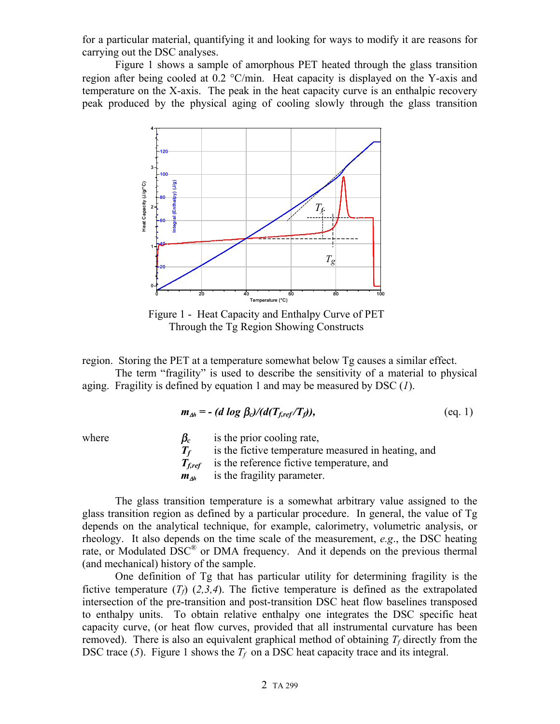for a particular material, quantifying it and looking for ways to modify it are reasons for carrying out the DSC analyses.

Figure 1 shows a sample of amorphous PET heated through the glass transition region after being cooled at 0.2 °C/min. Heat capacity is displayed on the Y-axis and temperature on the X-axis. The peak in the heat capacity curve is an enthalpic recovery peak produced by the physical aging of cooling slowly through the glass transition



Figure 1 - Heat Capacity and Enthalpy Curve of PET Through the Tg Region Showing Constructs

region. Storing the PET at a temperature somewhat below Tg causes a similar effect.

The term "fragility" is used to describe the sensitivity of a material to physical aging. Fragility is defined by equation 1 and may be measured by DSC (*1*).

$$
m_{\Delta h} = - (d \log \beta_c)/(d(T_{f,ref}/T_f)), \qquad (eq. 1)
$$

where  $\beta_c$  is the prior cooling rate,  $T_f$  is the fictive temperature measured in heating, and *Tf,ref* is the reference fictive temperature, and *m*∆*h* is the fragility parameter.

The glass transition temperature is a somewhat arbitrary value assigned to the glass transition region as defined by a particular procedure. In general, the value of Tg depends on the analytical technique, for example, calorimetry, volumetric analysis, or rheology. It also depends on the time scale of the measurement, *e.g*., the DSC heating rate, or Modulated  $DSC^{\circledR}$  or DMA frequency. And it depends on the previous thermal (and mechanical) history of the sample.

One definition of Tg that has particular utility for determining fragility is the fictive temperature  $(T_f)$   $(2,3,4)$ . The fictive temperature is defined as the extrapolated intersection of the pre-transition and post-transition DSC heat flow baselines transposed to enthalpy units. To obtain relative enthalpy one integrates the DSC specific heat capacity curve, (or heat flow curves, provided that all instrumental curvature has been removed). There is also an equivalent graphical method of obtaining  $T_f$  directly from the DSC trace  $(5)$ . Figure 1 shows the  $T_f$  on a DSC heat capacity trace and its integral.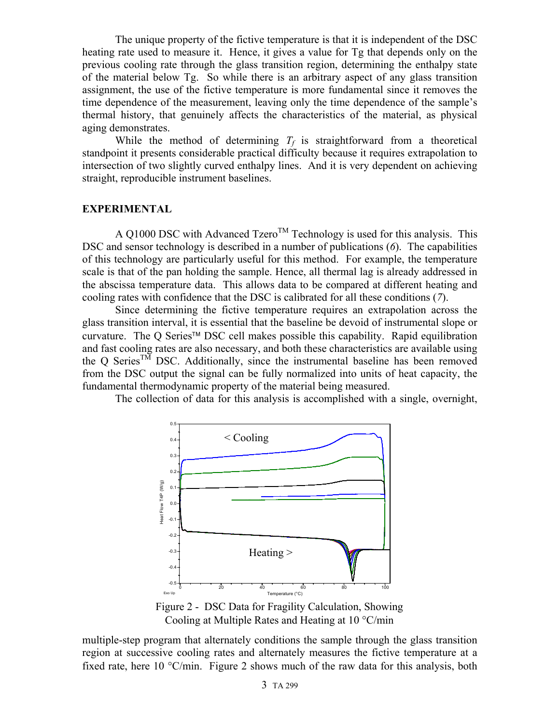The unique property of the fictive temperature is that it is independent of the DSC heating rate used to measure it. Hence, it gives a value for Tg that depends only on the previous cooling rate through the glass transition region, determining the enthalpy state of the material below Tg. So while there is an arbitrary aspect of any glass transition assignment, the use of the fictive temperature is more fundamental since it removes the time dependence of the measurement, leaving only the time dependence of the sample's thermal history, that genuinely affects the characteristics of the material, as physical aging demonstrates.

While the method of determining  $T_f$  is straightforward from a theoretical standpoint it presents considerable practical difficulty because it requires extrapolation to intersection of two slightly curved enthalpy lines. And it is very dependent on achieving straight, reproducible instrument baselines.

### **EXPERIMENTAL**

A Q1000 DSC with Advanced Tzero<sup>TM</sup> Technology is used for this analysis. This DSC and sensor technology is described in a number of publications (*6*). The capabilities of this technology are particularly useful for this method. For example, the temperature scale is that of the pan holding the sample. Hence, all thermal lag is already addressed in the abscissa temperature data. This allows data to be compared at different heating and cooling rates with confidence that the DSC is calibrated for all these conditions (*7*).

Since determining the fictive temperature requires an extrapolation across the glass transition interval, it is essential that the baseline be devoid of instrumental slope or curvature. The Q Series<sup>TM</sup> DSC cell makes possible this capability. Rapid equilibration and fast cooling rates are also necessary, and both these characteristics are available using the Q Series<sup>TM</sup> DSC. Additionally, since the instrumental baseline has been removed from the DSC output the signal can be fully normalized into units of heat capacity, the fundamental thermodynamic property of the material being measured.

The collection of data for this analysis is accomplished with a single, overnight,



Figure 2 - DSC Data for Fragility Calculation, Showing Cooling at Multiple Rates and Heating at 10 °C/min

multiple-step program that alternately conditions the sample through the glass transition region at successive cooling rates and alternately measures the fictive temperature at a fixed rate, here 10 °C/min. Figure 2 shows much of the raw data for this analysis, both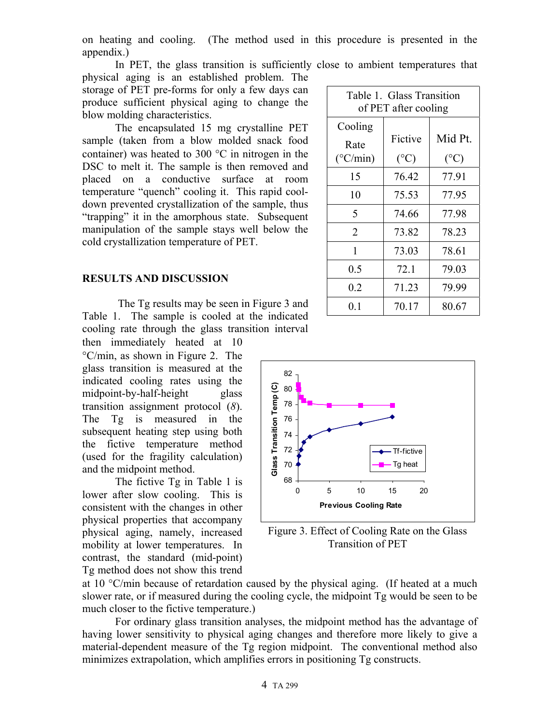on heating and cooling. (The method used in this procedure is presented in the appendix.)

In PET, the glass transition is sufficiently close to ambient temperatures that physical aging is an established problem. The

storage of PET pre-forms for only a few days can produce sufficient physical aging to change the blow molding characteristics.

The encapsulated 15 mg crystalline PET sample (taken from a blow molded snack food container) was heated to 300 °C in nitrogen in the DSC to melt it. The sample is then removed and placed on a conductive surface at room temperature "quench" cooling it. This rapid cooldown prevented crystallization of the sample, thus "trapping" it in the amorphous state. Subsequent manipulation of the sample stays well below the cold crystallization temperature of PET.

#### **RESULTS AND DISCUSSION**

The Tg results may be seen in Figure 3 and Table 1. The sample is cooled at the indicated cooling rate through the glass transition interval

then immediately heated at 10 °C/min, as shown in Figure 2. The glass transition is measured at the indicated cooling rates using the midpoint-by-half-height glass transition assignment protocol (*8*). The Tg is measured in the subsequent heating step using both the fictive temperature method (used for the fragility calculation) and the midpoint method.

The fictive Tg in Table 1 is lower after slow cooling. This is consistent with the changes in other physical properties that accompany physical aging, namely, increased mobility at lower temperatures. In contrast, the standard (mid-point) Tg method does not show this trend

Table 1. Glass Transition of PET after cooling Cooling Rate  $(^{\circ}C/min)$ Fictive  $(^{\circ}C)$ Mid Pt.  $(^{\circ}C)$ 15 76.42 77.91 10 75.53 77.95 5 74.66 77.98 2 73.82 78.23 1 73.03 78.61 0.5 72.1 79.03  $0.2$  71.23 79.99

0.1 | 70.17 | 80.67



Figure 3. Effect of Cooling Rate on the Glass Transition of PET

at 10 °C/min because of retardation caused by the physical aging. (If heated at a much slower rate, or if measured during the cooling cycle, the midpoint Tg would be seen to be much closer to the fictive temperature.)

For ordinary glass transition analyses, the midpoint method has the advantage of having lower sensitivity to physical aging changes and therefore more likely to give a material-dependent measure of the Tg region midpoint. The conventional method also minimizes extrapolation, which amplifies errors in positioning Tg constructs.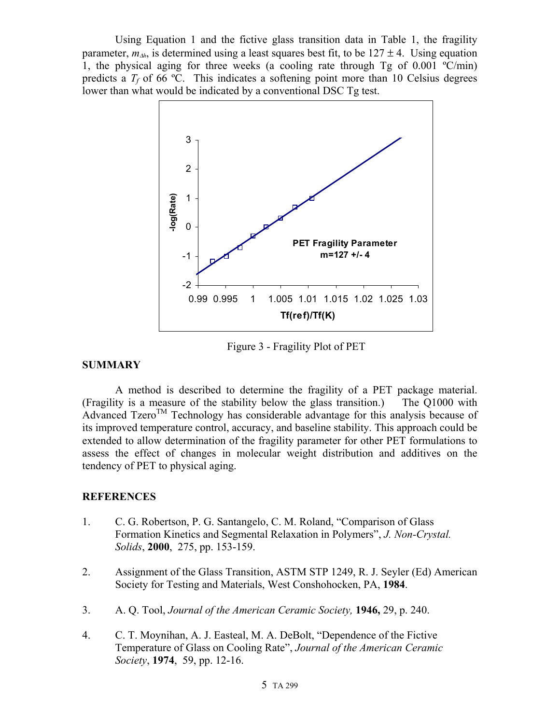Using Equation 1 and the fictive glass transition data in Table 1, the fragility parameter,  $m_{\lambda h}$ , is determined using a least squares best fit, to be  $127 \pm 4$ . Using equation 1, the physical aging for three weeks (a cooling rate through  $Tg$  of 0.001  $\degree$ C/min) predicts a  $T_f$  of 66 °C. This indicates a softening point more than 10 Celsius degrees lower than what would be indicated by a conventional DSC Tg test.



Figure 3 - Fragility Plot of PET

## **SUMMARY**

A method is described to determine the fragility of a PET package material. (Fragility is a measure of the stability below the glass transition.) The Q1000 with Advanced Tzero<sup>TM</sup> Technology has considerable advantage for this analysis because of its improved temperature control, accuracy, and baseline stability. This approach could be extended to allow determination of the fragility parameter for other PET formulations to assess the effect of changes in molecular weight distribution and additives on the tendency of PET to physical aging.

## **REFERENCES**

- 1. C. G. Robertson, P. G. Santangelo, C. M. Roland, "Comparison of Glass Formation Kinetics and Segmental Relaxation in Polymers", *J. Non-Crystal. Solids*, **2000**, 275, pp. 153-159.
- 2. Assignment of the Glass Transition, ASTM STP 1249, R. J. Seyler (Ed) American Society for Testing and Materials, West Conshohocken, PA, **1984**.
- 3. A. Q. Tool, *Journal of the American Ceramic Society,* **1946,** 29, p. 240.
- 4. C. T. Moynihan, A. J. Easteal, M. A. DeBolt, "Dependence of the Fictive Temperature of Glass on Cooling Rate", *Journal of the American Ceramic Society*, **1974**, 59, pp. 12-16.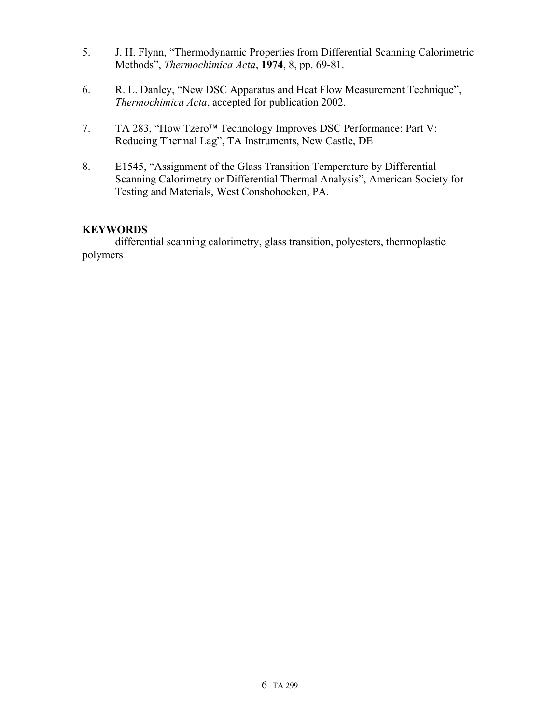- 5. J. H. Flynn, "Thermodynamic Properties from Differential Scanning Calorimetric Methods", *Thermochimica Acta*, **1974**, 8, pp. 69-81.
- 6. R. L. Danley, "New DSC Apparatus and Heat Flow Measurement Technique", *Thermochimica Acta*, accepted for publication 2002.
- 7. TA 283, "How Tzero<sup>™</sup> Technology Improves DSC Performance: Part V: Reducing Thermal Lag", TA Instruments, New Castle, DE
- 8. E1545, "Assignment of the Glass Transition Temperature by Differential Scanning Calorimetry or Differential Thermal Analysis", American Society for Testing and Materials, West Conshohocken, PA.

## **KEYWORDS**

differential scanning calorimetry, glass transition, polyesters, thermoplastic polymers